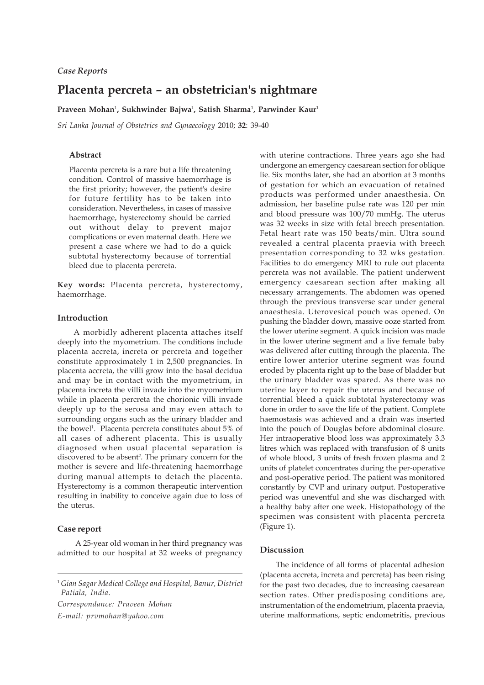## *Case Reports*

# **Placenta percreta – an obstetrician's nightmare**

**Praveen Mohan**<sup>1</sup> **, Sukhwinder Bajwa**<sup>1</sup> **, Satish Sharma**<sup>1</sup> **, Parwinder Kaur**<sup>1</sup>

*Sri Lanka Journal of Obstetrics and Gynaecology* 2010; **32**: 39-40

#### **Abstract**

Placenta percreta is a rare but a life threatening condition. Control of massive haemorrhage is the first priority; however, the patient's desire for future fertility has to be taken into consideration. Nevertheless, in cases of massive haemorrhage, hysterectomy should be carried out without delay to prevent major complications or even maternal death. Here we present a case where we had to do a quick subtotal hysterectomy because of torrential bleed due to placenta percreta.

**Key words:** Placenta percreta, hysterectomy, haemorrhage.

### **Introduction**

A morbidly adherent placenta attaches itself deeply into the myometrium. The conditions include placenta accreta, increta or percreta and together constitute approximately 1 in 2,500 pregnancies. In placenta accreta, the villi grow into the basal decidua and may be in contact with the myometrium, in placenta increta the villi invade into the myometrium while in placenta percreta the chorionic villi invade deeply up to the serosa and may even attach to surrounding organs such as the urinary bladder and the bowel<sup>1</sup>. Placenta percreta constitutes about 5% of all cases of adherent placenta. This is usually diagnosed when usual placental separation is discovered to be absent<sup>2</sup>. The primary concern for the mother is severe and life-threatening haemorrhage during manual attempts to detach the placenta. Hysterectomy is a common therapeutic intervention resulting in inability to conceive again due to loss of the uterus.

#### **Case report**

 A 25-year old woman in her third pregnancy was admitted to our hospital at 32 weeks of pregnancy

*Correspondance: Praveen Mohan E-mail: prvmohan@yahoo.com*

with uterine contractions. Three years ago she had undergone an emergency caesarean section for oblique lie. Six months later, she had an abortion at 3 months of gestation for which an evacuation of retained products was performed under anaesthesia. On admission, her baseline pulse rate was 120 per min and blood pressure was 100/70 mmHg. The uterus was 32 weeks in size with fetal breech presentation. Fetal heart rate was 150 beats/min. Ultra sound revealed a central placenta praevia with breech presentation corresponding to 32 wks gestation. Facilities to do emergency MRI to rule out placenta percreta was not available. The patient underwent emergency caesarean section after making all necessary arrangements. The abdomen was opened through the previous transverse scar under general anaesthesia. Uterovesical pouch was opened. On pushing the bladder down, massive ooze started from the lower uterine segment. A quick incision was made in the lower uterine segment and a live female baby was delivered after cutting through the placenta. The entire lower anterior uterine segment was found eroded by placenta right up to the base of bladder but the urinary bladder was spared. As there was no uterine layer to repair the uterus and because of torrential bleed a quick subtotal hysterectomy was done in order to save the life of the patient. Complete haemostasis was achieved and a drain was inserted into the pouch of Douglas before abdominal closure. Her intraoperative blood loss was approximately 3.3 litres which was replaced with transfusion of 8 units of whole blood, 3 units of fresh frozen plasma and 2 units of platelet concentrates during the per-operative and post-operative period. The patient was monitored constantly by CVP and urinary output. Postoperative period was uneventful and she was discharged with a healthy baby after one week. Histopathology of the specimen was consistent with placenta percreta (Figure 1).

#### **Discussion**

The incidence of all forms of placental adhesion (placenta accreta, increta and percreta) has been rising for the past two decades, due to increasing caesarean section rates. Other predisposing conditions are, instrumentation of the endometrium, placenta praevia, uterine malformations, septic endometritis, previous

<sup>1</sup> *Gian Sagar Medical College and Hospital, Banur, District Patiala, India.*